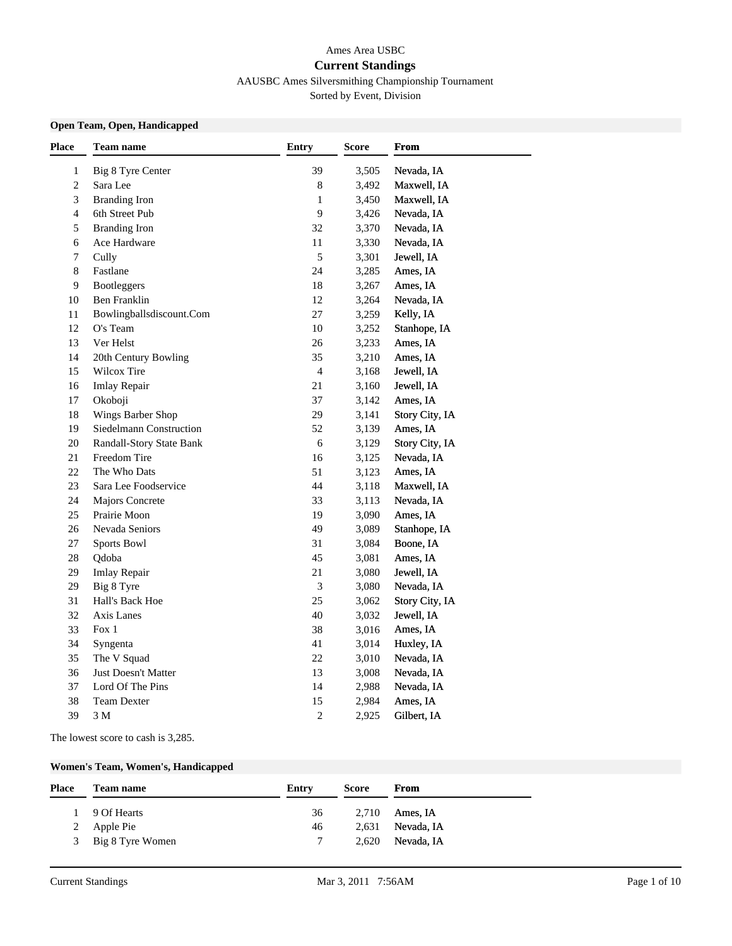### Ames Area USBC **Current Standings** AAUSBC Ames Silversmithing Championship Tournament

Sorted by Event, Division

#### **Open Team, Open, Handicapped**

| <b>Place</b>   | <b>Team name</b>           | Entry          | <b>Score</b> | <b>From</b>    |  |
|----------------|----------------------------|----------------|--------------|----------------|--|
| $\mathbf{1}$   | Big 8 Tyre Center          | 39             | 3,505        | Nevada, IA     |  |
| $\overline{c}$ | Sara Lee                   | $\,$ 8 $\,$    | 3,492        | Maxwell, IA    |  |
| 3              | <b>Branding Iron</b>       | $\mathbf{1}$   | 3,450        | Maxwell, IA    |  |
| $\overline{4}$ | 6th Street Pub             | 9              | 3,426        | Nevada, IA     |  |
| 5              | <b>Branding Iron</b>       | 32             | 3,370        | Nevada, IA     |  |
| 6              | Ace Hardware               | 11             | 3,330        | Nevada, IA     |  |
| 7              | Cully                      | 5              | 3,301        | Jewell, IA     |  |
| 8              | Fastlane                   | 24             | 3,285        | Ames, IA       |  |
| 9              | Bootleggers                | 18             | 3,267        | Ames, IA       |  |
| $10\,$         | Ben Franklin               | $12\,$         | 3,264        | Nevada, IA     |  |
| 11             | Bowlingballsdiscount.Com   | 27             | 3,259        | Kelly, IA      |  |
| 12             | O's Team                   | 10             | 3,252        | Stanhope, IA   |  |
| 13             | Ver Helst                  | 26             | 3,233        | Ames, IA       |  |
| 14             | 20th Century Bowling       | 35             | 3,210        | Ames, IA       |  |
| 15             | Wilcox Tire                | $\overline{4}$ | 3,168        | Jewell, IA     |  |
| 16             | Imlay Repair               | 21             | 3,160        | Jewell, IA     |  |
| 17             | Okoboji                    | 37             | 3,142        | Ames, IA       |  |
| 18             | Wings Barber Shop          | 29             | 3,141        | Story City, IA |  |
| 19             | Siedelmann Construction    | 52             | 3,139        | Ames, IA       |  |
| $20\,$         | Randall-Story State Bank   | $\sqrt{6}$     | 3,129        | Story City, IA |  |
| 21             | Freedom Tire               | 16             | 3,125        | Nevada, IA     |  |
| 22             | The Who Dats               | 51             | 3,123        | Ames, IA       |  |
| 23             | Sara Lee Foodservice       | 44             | 3,118        | Maxwell, IA    |  |
| 24             | Majors Concrete            | 33             | 3,113        | Nevada, IA     |  |
| 25             | Prairie Moon               | 19             | 3,090        | Ames, IA       |  |
| 26             | Nevada Seniors             | 49             | 3,089        | Stanhope, IA   |  |
| 27             | <b>Sports Bowl</b>         | 31             | 3,084        | Boone, IA      |  |
| $28\,$         | Qdoba                      | 45             | 3,081        | Ames, IA       |  |
| 29             | <b>Imlay Repair</b>        | 21             | 3,080        | Jewell, IA     |  |
| 29             | Big 8 Tyre                 | 3              | 3,080        | Nevada, IA     |  |
| 31             | Hall's Back Hoe            | 25             | 3,062        | Story City, IA |  |
| 32             | Axis Lanes                 | 40             | 3,032        | Jewell, IA     |  |
| 33             | Fox 1                      | 38             | 3,016        | Ames, IA       |  |
| 34             | Syngenta                   | 41             | 3,014        | Huxley, IA     |  |
| 35             | The V Squad                | $22\,$         | 3,010        | Nevada, IA     |  |
| 36             | <b>Just Doesn't Matter</b> | 13             | 3,008        | Nevada, IA     |  |
| 37             | Lord Of The Pins           | 14             | 2,988        | Nevada, IA     |  |
| 38             | Team Dexter                | 15             | 2,984        | Ames, IA       |  |
| 39             | 3 M                        | $\overline{c}$ | 2,925        | Gilbert, IA    |  |

The lowest score to cash is 3,285.

### **Women's Team, Women's, Handicapped**

| <b>Place</b> | <b>Team name</b>   | Entry  | Score | From             |
|--------------|--------------------|--------|-------|------------------|
|              | 1 9 Of Hearts      | 36     |       | $2,710$ Ames, IA |
|              | 2 Apple Pie        | 46     | 2.631 | Nevada, IA       |
|              | 3 Big 8 Tyre Women | $\tau$ | 2.620 | Nevada, IA       |
|              |                    |        |       |                  |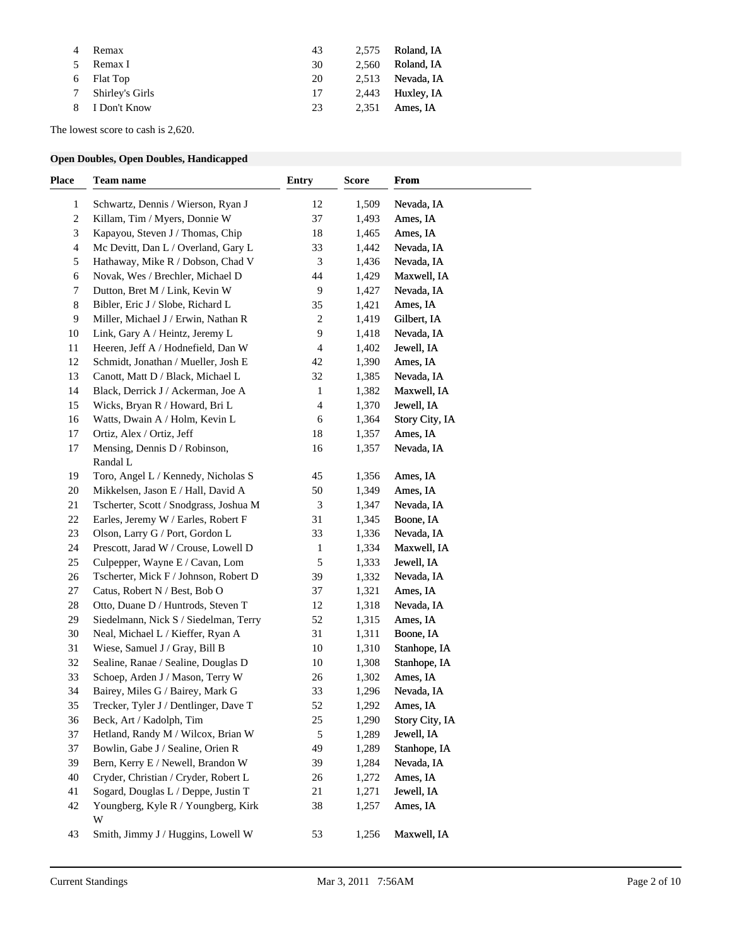| Remax             | 43 | 2.575 | Roland, IA         |
|-------------------|----|-------|--------------------|
| Remax I           | 30 | 2.560 | Roland, IA         |
| 6 Flat Top        | 20 | 2.513 | Nevada, IA         |
| 7 Shirley's Girls | 17 |       | $2,443$ Huxley, IA |
| 8 I Don't Know    | 23 | 2.351 | Ames. IA           |

The lowest score to cash is 2,620.

### **Open Doubles, Open Doubles, Handicapped**

| <b>Place</b> | Team name                                | <b>Entry</b>   | <b>Score</b> | From           |  |
|--------------|------------------------------------------|----------------|--------------|----------------|--|
| 1            | Schwartz, Dennis / Wierson, Ryan J       | 12             | 1,509        | Nevada, IA     |  |
| 2            | Killam, Tim / Myers, Donnie W            | 37             | 1,493        | Ames, IA       |  |
| 3            | Kapayou, Steven J / Thomas, Chip         | 18             | 1,465        | Ames, IA       |  |
| 4            | Mc Devitt, Dan L / Overland, Gary L      | 33             | 1,442        | Nevada, IA     |  |
| 5            | Hathaway, Mike R / Dobson, Chad V        | $\mathfrak{Z}$ | 1,436        | Nevada, IA     |  |
| 6            | Novak, Wes / Brechler, Michael D         | 44             | 1,429        | Maxwell, IA    |  |
| 7            | Dutton, Bret M / Link, Kevin W           | 9              | 1,427        | Nevada, IA     |  |
| 8            | Bibler, Eric J / Slobe, Richard L        | 35             | 1,421        | Ames, IA       |  |
| 9            | Miller, Michael J / Erwin, Nathan R      | $\sqrt{2}$     | 1,419        | Gilbert, IA    |  |
| 10           | Link, Gary A / Heintz, Jeremy L          | 9              | 1,418        | Nevada, IA     |  |
| 11           | Heeren, Jeff A / Hodnefield, Dan W       | 4              | 1,402        | Jewell, IA     |  |
| 12           | Schmidt, Jonathan / Mueller, Josh E      | 42             | 1,390        | Ames, IA       |  |
| 13           | Canott, Matt D / Black, Michael L        | 32             | 1,385        | Nevada, IA     |  |
| 14           | Black, Derrick J / Ackerman, Joe A       | 1              | 1,382        | Maxwell, IA    |  |
| 15           | Wicks, Bryan R / Howard, Bri L           | 4              | 1,370        | Jewell, IA     |  |
| 16           | Watts, Dwain A / Holm, Kevin L           | 6              | 1,364        | Story City, IA |  |
| 17           | Ortiz, Alex / Ortiz, Jeff                | 18             | 1,357        | Ames, IA       |  |
| 17           | Mensing, Dennis D / Robinson,            | 16             | 1,357        | Nevada, IA     |  |
|              | Randal L                                 |                |              |                |  |
| 19           | Toro, Angel L / Kennedy, Nicholas S      | 45             | 1,356        | Ames, IA       |  |
| 20           | Mikkelsen, Jason E / Hall, David A       | 50             | 1,349        | Ames, IA       |  |
| 21           | Tscherter, Scott / Snodgrass, Joshua M   | 3              | 1,347        | Nevada, IA     |  |
| 22           | Earles, Jeremy W / Earles, Robert F      | 31             | 1,345        | Boone, IA      |  |
| 23           | Olson, Larry G / Port, Gordon L          | 33             | 1,336        | Nevada, IA     |  |
| 24           | Prescott, Jarad W / Crouse, Lowell D     | $\mathbf{1}$   | 1,334        | Maxwell, IA    |  |
| 25           | Culpepper, Wayne E / Cavan, Lom          | 5              | 1,333        | Jewell, IA     |  |
| 26           | Tscherter, Mick F / Johnson, Robert D    | 39             | 1,332        | Nevada, IA     |  |
| 27           | Catus, Robert N / Best, Bob O            | 37             | 1,321        | Ames, IA       |  |
| 28           | Otto, Duane D / Huntrods, Steven T       | 12             | 1,318        | Nevada, IA     |  |
| 29           | Siedelmann, Nick S / Siedelman, Terry    | 52             | 1,315        | Ames, IA       |  |
| 30           | Neal, Michael L / Kieffer, Ryan A        | 31             | 1,311        | Boone, IA      |  |
| 31           | Wiese, Samuel J / Gray, Bill B           | 10             | 1,310        | Stanhope, IA   |  |
| 32           | Sealine, Ranae / Sealine, Douglas D      | 10             | 1,308        | Stanhope, IA   |  |
| 33           | Schoep, Arden J / Mason, Terry W         | 26             | 1,302        | Ames, IA       |  |
| 34           | Bairey, Miles G / Bairey, Mark G         | 33             | 1,296        | Nevada, IA     |  |
| 35           | Trecker, Tyler J / Dentlinger, Dave T    | 52             | 1,292        | Ames, IA       |  |
| 36           | Beck, Art / Kadolph, Tim                 | $25\,$         | 1,290        | Story City, IA |  |
| 37           | Hetland, Randy M / Wilcox, Brian W       | 5              | 1,289        | Jewell, IA     |  |
| 37           | Bowlin, Gabe J / Sealine, Orien R        | 49             | 1,289        | Stanhope, IA   |  |
| 39           | Bern, Kerry E / Newell, Brandon W        | 39             | 1,284        | Nevada, IA     |  |
| 40           | Cryder, Christian / Cryder, Robert L     | 26             | 1,272        | Ames, IA       |  |
| 41           | Sogard, Douglas L / Deppe, Justin T      | 21             | 1,271        | Jewell, IA     |  |
| 42           | Youngberg, Kyle R / Youngberg, Kirk<br>W | 38             | 1,257        | Ames, IA       |  |
| 43           | Smith, Jimmy J / Huggins, Lowell W       | 53             | 1,256        | Maxwell, IA    |  |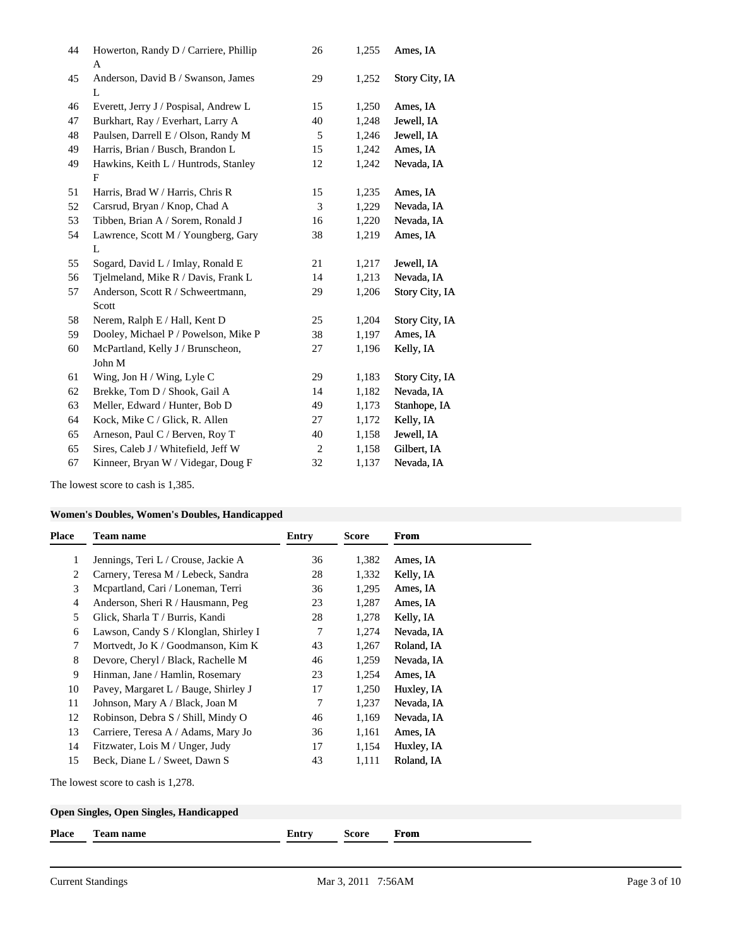| 44 | Howerton, Randy D / Carriere, Phillip<br>A | 26             | 1,255 | Ames, IA       |
|----|--------------------------------------------|----------------|-------|----------------|
| 45 | Anderson, David B / Swanson, James<br>L    | 29             | 1,252 | Story City, IA |
| 46 | Everett, Jerry J / Pospisal, Andrew L      | 15             | 1,250 | Ames, IA       |
| 47 | Burkhart, Ray / Everhart, Larry A          | 40             | 1,248 | Jewell, IA     |
| 48 | Paulsen, Darrell E / Olson, Randy M        | 5              | 1,246 | Jewell, IA     |
| 49 | Harris, Brian / Busch, Brandon L           | 15             | 1,242 | Ames, IA       |
| 49 | Hawkins, Keith L / Huntrods, Stanley       | 12             | 1,242 | Nevada, IA     |
|    | $\mathbf{F}$                               |                |       |                |
| 51 | Harris, Brad W / Harris, Chris R           | 15             | 1,235 | Ames, IA       |
| 52 | Carsrud, Bryan / Knop, Chad A              | 3              | 1,229 | Nevada, IA     |
| 53 | Tibben, Brian A / Sorem, Ronald J          | 16             | 1,220 | Nevada, IA     |
| 54 | Lawrence, Scott M / Youngberg, Gary        | 38             | 1,219 | Ames, IA       |
|    | L                                          |                |       |                |
| 55 | Sogard, David L / Imlay, Ronald E          | 21             | 1,217 | Jewell, IA     |
| 56 | Tjelmeland, Mike R / Davis, Frank L        | 14             | 1,213 | Nevada, IA     |
| 57 | Anderson, Scott R / Schweertmann,          | 29             | 1,206 | Story City, IA |
|    | Scott                                      |                |       |                |
| 58 | Nerem, Ralph E / Hall, Kent D              | 25             | 1,204 | Story City, IA |
| 59 | Dooley, Michael P / Powelson, Mike P       | 38             | 1,197 | Ames, IA       |
| 60 | McPartland, Kelly J / Brunscheon,          | 27             | 1,196 | Kelly, IA      |
|    | John M                                     |                |       |                |
| 61 | Wing, Jon H / Wing, Lyle C                 | 29             | 1,183 | Story City, IA |
| 62 | Brekke, Tom D / Shook, Gail A              | 14             | 1,182 | Nevada, IA     |
| 63 | Meller, Edward / Hunter, Bob D             | 49             | 1,173 | Stanhope, IA   |
| 64 | Kock, Mike C / Glick, R. Allen             | 27             | 1,172 | Kelly, IA      |
| 65 | Arneson, Paul C / Berven, Roy T            | 40             | 1,158 | Jewell, IA     |
| 65 | Sires, Caleb J / Whitefield, Jeff W        | $\overline{c}$ | 1,158 | Gilbert, IA    |
| 67 | Kinneer, Bryan W / Videgar, Doug F         | 32             | 1,137 | Nevada, IA     |
|    |                                            |                |       |                |

The lowest score to cash is 1,385.

# **Women's Doubles, Women's Doubles, Handicapped**

| Place | <b>Team name</b>                      | Entry | <b>Score</b> | From       |
|-------|---------------------------------------|-------|--------------|------------|
| 1     | Jennings, Teri L / Crouse, Jackie A   | 36    | 1,382        | Ames, IA   |
| 2     | Carnery, Teresa M / Lebeck, Sandra    | 28    | 1,332        | Kelly, IA  |
| 3     | Mcpartland, Cari / Loneman, Terri     | 36    | 1,295        | Ames, IA   |
| 4     | Anderson, Sheri R / Hausmann, Peg     | 23    | 1,287        | Ames, IA   |
| 5     | Glick, Sharla T / Burris, Kandi       | 28    | 1,278        | Kelly, IA  |
| 6     | Lawson, Candy S / Klonglan, Shirley I | 7     | 1,274        | Nevada, IA |
| 7     | Mortvedt, Jo K / Goodmanson, Kim K    | 43    | 1,267        | Roland, IA |
| 8     | Devore, Cheryl / Black, Rachelle M    | 46    | 1,259        | Nevada, IA |
| 9     | Hinman, Jane / Hamlin, Rosemary       | 23    | 1,254        | Ames, IA   |
| 10    | Pavey, Margaret L / Bauge, Shirley J  | 17    | 1,250        | Huxley, IA |
| 11    | Johnson, Mary A / Black, Joan M       | 7     | 1,237        | Nevada, IA |
| 12    | Robinson, Debra S / Shill, Mindy O    | 46    | 1,169        | Nevada, IA |
| 13    | Carriere, Teresa A / Adams, Mary Jo   | 36    | 1,161        | Ames, IA   |
| 14    | Fitzwater, Lois M / Unger, Judy       | 17    | 1,154        | Huxley, IA |
| 15    | Beck, Diane L / Sweet, Dawn S         | 43    | 1,111        | Roland, IA |

The lowest score to cash is 1,278.

# **Open Singles, Open Singles, Handicapped**

| <b>Place</b> | l'eam name | i ya finanz<br>aliu y | score | From |
|--------------|------------|-----------------------|-------|------|
|              |            |                       |       |      |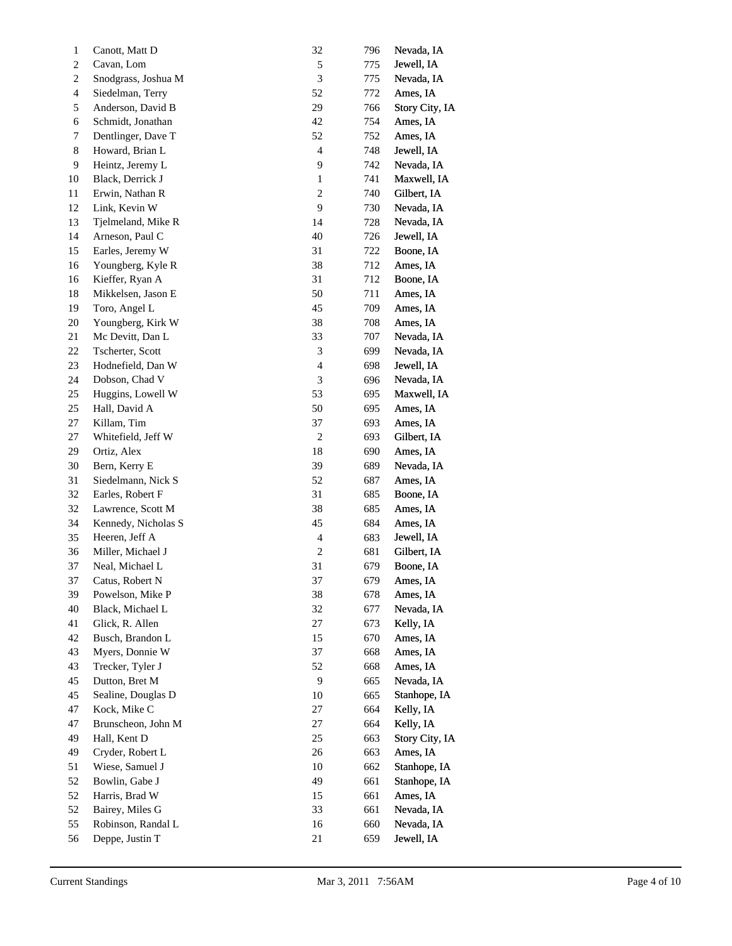| 1                       | Canott, Matt D      | 32                          | 796 | Nevada, IA     |
|-------------------------|---------------------|-----------------------------|-----|----------------|
| $\overline{\mathbf{c}}$ | Cavan, Lom          | 5                           | 775 | Jewell, IA     |
| 2                       | Snodgrass, Joshua M | 3                           | 775 | Nevada, IA     |
| 4                       | Siedelman, Terry    | 52                          | 772 | Ames, IA       |
| 5                       | Anderson, David B   | 29                          | 766 | Story City, IA |
| 6                       | Schmidt, Jonathan   | 42                          | 754 | Ames, IA       |
| 7                       | Dentlinger, Dave T  | 52                          | 752 | Ames, IA       |
| 8                       | Howard, Brian L     | $\overline{\mathcal{A}}$    | 748 | Jewell, IA     |
| 9                       | Heintz, Jeremy L    | 9                           | 742 | Nevada, IA     |
| 10                      | Black, Derrick J    | $\mathbf{1}$                | 741 | Maxwell, IA    |
| 11                      | Erwin, Nathan R     | $\boldsymbol{2}$            | 740 | Gilbert, IA    |
| 12                      | Link, Kevin W       | $\overline{9}$              | 730 | Nevada, IA     |
| 13                      | Tjelmeland, Mike R  | 14                          | 728 | Nevada, IA     |
| 14                      | Arneson, Paul C     | 40                          | 726 | Jewell, IA     |
| 15                      | Earles, Jeremy W    | 31                          | 722 | Boone, IA      |
| 16                      | Youngberg, Kyle R   | 38                          | 712 | Ames, IA       |
| 16                      | Kieffer, Ryan A     | 31                          | 712 | Boone, IA      |
| 18                      | Mikkelsen, Jason E  | 50                          | 711 | Ames, IA       |
| 19                      | Toro, Angel L       | 45                          | 709 | Ames, IA       |
| 20                      | Youngberg, Kirk W   | 38                          | 708 | Ames, IA       |
| 21                      | Mc Devitt, Dan L    | 33                          | 707 | Nevada, IA     |
| 22                      | Tscherter, Scott    | $\ensuremath{\mathfrak{Z}}$ | 699 | Nevada, IA     |
| 23                      | Hodnefield, Dan W   | $\overline{\mathcal{A}}$    | 698 | Jewell, IA     |
| 24                      | Dobson, Chad V      | 3                           | 696 | Nevada, IA     |
| 25                      | Huggins, Lowell W   | 53                          | 695 | Maxwell, IA    |
| 25                      | Hall, David A       | 50                          | 695 | Ames, IA       |
| 27                      | Killam, Tim         | 37                          | 693 | Ames, IA       |
| 27                      | Whitefield, Jeff W  | $\sqrt{2}$                  | 693 | Gilbert, IA    |
| 29                      | Ortiz, Alex         | 18                          | 690 | Ames, IA       |
| 30                      | Bern, Kerry E       | 39                          | 689 | Nevada, IA     |
| 31                      | Siedelmann, Nick S  | 52                          | 687 | Ames, IA       |
| 32                      | Earles, Robert F    | 31                          | 685 | Boone, IA      |
| 32                      | Lawrence, Scott M   | 38                          | 685 | Ames, IA       |
| 34                      | Kennedy, Nicholas S | 45                          | 684 | Ames, IA       |
| 35                      | Heeren, Jeff A      | $\overline{\mathcal{L}}$    | 683 | Jewell, IA     |
| 36                      | Miller, Michael J   | $\overline{c}$              | 681 | Gilbert, IA    |
| 37                      | Neal, Michael L     | 31                          | 679 | Boone, IA      |
| 37                      | Catus, Robert N     | 37                          | 679 | Ames, IA       |
| 39                      | Powelson, Mike P    | 38                          | 678 | Ames, IA       |
| 40                      | Black, Michael L    | 32                          | 677 | Nevada, IA     |
| 41                      | Glick, R. Allen     | 27                          | 673 | Kelly, IA      |
| 42                      | Busch, Brandon L    | 15                          | 670 | Ames, IA       |
| 43                      | Myers, Donnie W     | 37                          | 668 | Ames, IA       |
| 43                      | Trecker, Tyler J    | 52                          | 668 | Ames, IA       |
| 45                      | Dutton, Bret M      | $\boldsymbol{9}$            | 665 | Nevada, IA     |
| 45                      | Sealine, Douglas D  | 10                          | 665 | Stanhope, IA   |
| 47                      | Kock, Mike C        | 27                          | 664 | Kelly, IA      |
| 47                      | Brunscheon, John M  | 27                          | 664 | Kelly, IA      |
| 49                      | Hall, Kent D        | 25                          | 663 | Story City, IA |
| 49                      | Cryder, Robert L    | 26                          | 663 | Ames, IA       |
| 51                      | Wiese, Samuel J     | $10\,$                      | 662 | Stanhope, IA   |
| 52                      | Bowlin, Gabe J      | 49                          | 661 | Stanhope, IA   |
| 52                      | Harris, Brad W      | 15                          | 661 | Ames, IA       |
| 52                      | Bairey, Miles G     | 33                          | 661 | Nevada, IA     |
| 55                      | Robinson, Randal L  | 16                          | 660 | Nevada, IA     |
| 56                      | Deppe, Justin T     | 21                          | 659 | Jewell, IA     |
|                         |                     |                             |     |                |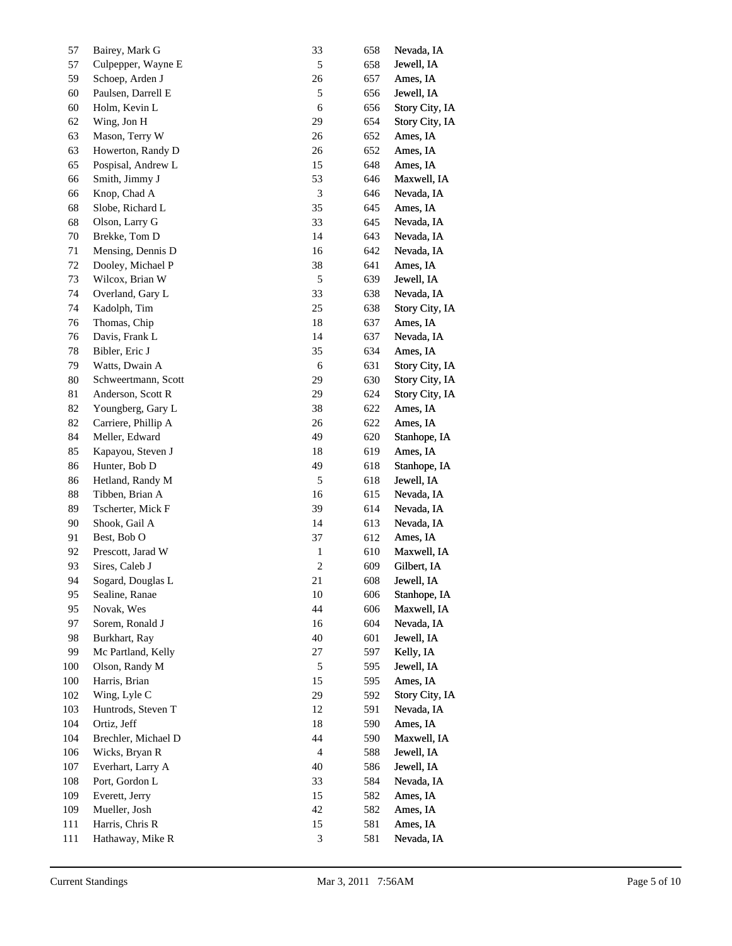| 57           | Bairey, Mark G                      | 33                          | 658        | Nevada, IA               |
|--------------|-------------------------------------|-----------------------------|------------|--------------------------|
| 57           | Culpepper, Wayne E                  | $\sqrt{5}$                  | 658        | Jewell, IA               |
| 59           | Schoep, Arden J                     | $26\,$                      | 657        | Ames, IA                 |
| 60           | Paulsen, Darrell E                  | $\sqrt{5}$                  | 656        | Jewell, IA               |
| 60           | Holm, Kevin L                       | $\sqrt{6}$                  | 656        | Story City, IA           |
| 62           | Wing, Jon H                         | 29                          | 654        | Story City, IA           |
| 63           | Mason, Terry W                      | 26                          | 652        | Ames, IA                 |
| 63           | Howerton, Randy D                   | 26                          | 652        | Ames, IA                 |
| 65           | Pospisal, Andrew L                  | 15                          | 648        | Ames, IA                 |
| 66           | Smith, Jimmy J                      | 53                          | 646        | Maxwell, IA              |
| 66           | Knop, Chad A                        | $\ensuremath{\mathfrak{Z}}$ | 646        | Nevada, IA               |
| 68           | Slobe, Richard L                    | 35                          | 645        | Ames, IA                 |
| 68           | Olson, Larry G                      | 33                          | 645        | Nevada, IA               |
| $70\,$       | Brekke, Tom D                       | 14                          | 643        | Nevada, IA               |
| 71           | Mensing, Dennis D                   | 16                          | 642        | Nevada, IA               |
| $72\,$       | Dooley, Michael P                   | 38                          | 641        | Ames, IA                 |
| 73           | Wilcox, Brian W                     | $\sqrt{5}$                  | 639        | Jewell, IA               |
| 74           | Overland, Gary L                    | 33                          | 638        | Nevada, IA               |
| 74           | Kadolph, Tim                        | 25                          | 638        | Story City, IA           |
| 76           | Thomas, Chip                        | $18\,$                      | 637        | Ames, IA                 |
| 76           | Davis, Frank L                      | 14                          | 637        | Nevada, IA               |
| 78           | Bibler, Eric J                      | 35                          | 634        | Ames, IA                 |
| 79           | Watts, Dwain A                      | $\sqrt{6}$                  | 631        | Story City, IA           |
| $80\,$       | Schweertmann, Scott                 | 29                          |            | Story City, IA           |
|              |                                     | 29                          | 630        |                          |
| 81           | Anderson, Scott R                   |                             | 624        | Story City, IA           |
| 82           | Youngberg, Gary L                   | 38                          | 622        | Ames, IA                 |
| 82           | Carriere, Phillip A                 | 26<br>49                    | 622        | Ames, IA                 |
| 84           | Meller, Edward                      |                             | 620        | Stanhope, IA             |
| 85           | Kapayou, Steven J                   | 18                          | 619        | Ames, IA                 |
| 86           | Hunter, Bob D                       | 49<br>$\sqrt{5}$            | 618        | Stanhope, IA             |
| 86<br>$88\,$ | Hetland, Randy M<br>Tibben, Brian A | 16                          | 618        | Jewell, IA<br>Nevada, IA |
| 89           | Tscherter, Mick F                   | 39                          | 615        |                          |
| 90           | Shook, Gail A                       | 14                          | 614        | Nevada, IA<br>Nevada, IA |
| 91           | Best, Bob O                         | 37                          | 613        | Ames, IA                 |
| 92           | Prescott, Jarad W                   |                             | 612<br>610 | Maxwell, IA              |
| 93           | Sires, Caleb J                      | $\mathbf{1}$<br>$\sqrt{2}$  | 609        |                          |
|              |                                     | 21                          |            | Gilbert, IA              |
| 94           | Sogard, Douglas L                   |                             | 608        | Jewell, IA               |
| 95           | Sealine, Ranae                      | 10                          | 606        | Stanhope, IA             |
| 95           | Novak, Wes                          | 44                          | 606        | Maxwell, IA              |
| 97           | Sorem, Ronald J                     | 16                          | 604        | Nevada, IA               |
| 98           | Burkhart, Ray                       | 40                          | 601        | Jewell, IA               |
| 99           | Mc Partland, Kelly                  | 27                          | 597        | Kelly, IA                |
| 100          | Olson, Randy M                      | 5                           | 595        | Jewell, IA               |
| 100          | Harris, Brian                       | 15                          | 595        | Ames, IA                 |
| 102          | Wing, Lyle C                        | 29                          | 592        | Story City, IA           |
| 103          | Huntrods, Steven T                  | 12                          | 591        | Nevada, IA               |
| 104          | Ortiz, Jeff                         | 18                          | 590        | Ames, IA                 |
| 104          | Brechler, Michael D                 | 44                          | 590        | Maxwell, IA              |
| 106          | Wicks, Bryan R                      | $\overline{4}$              | 588        | Jewell, IA               |
| 107          | Everhart, Larry A                   | 40                          | 586        | Jewell, IA               |
| 108          | Port, Gordon L                      | 33                          | 584        | Nevada, IA               |
| 109          | Everett, Jerry                      | 15                          | 582        | Ames, IA                 |
| 109          | Mueller, Josh                       | 42                          | 582        | Ames, IA                 |
| 111          | Harris, Chris R                     | 15                          | 581        | Ames, IA                 |
| 111          | Hathaway, Mike R                    | $\ensuremath{\mathfrak{Z}}$ | 581        | Nevada, IA               |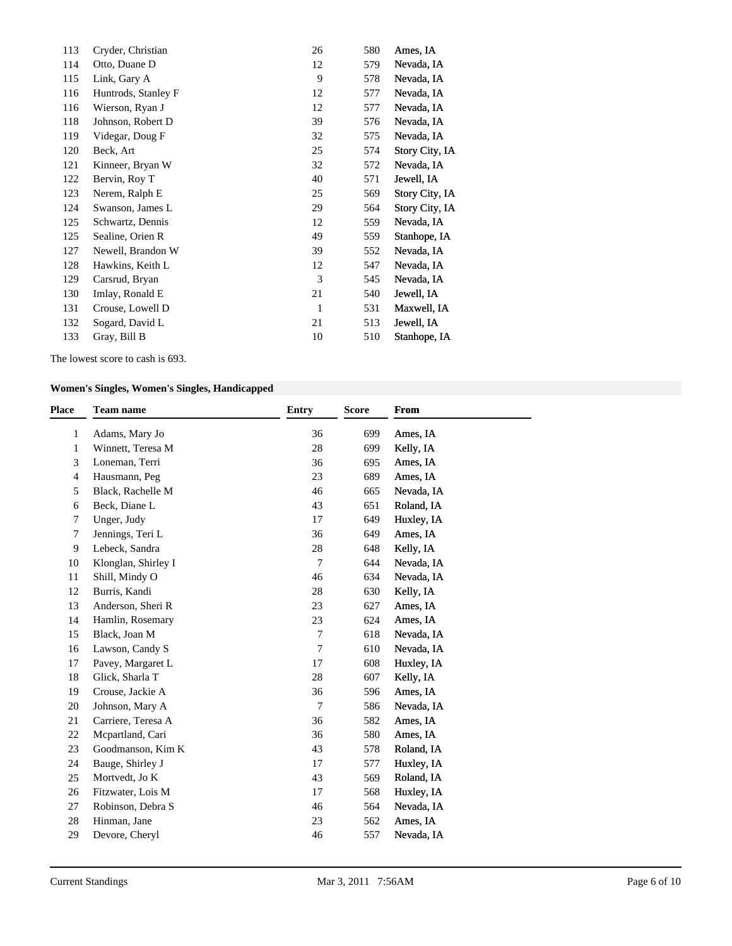| 113 | Cryder, Christian   | 26           | 580 | Ames, IA       |
|-----|---------------------|--------------|-----|----------------|
| 114 | Otto, Duane D       | 12           | 579 | Nevada, IA     |
| 115 | Link, Gary A        | 9            | 578 | Nevada, IA     |
| 116 | Huntrods, Stanley F | 12           | 577 | Nevada, IA     |
| 116 | Wierson, Ryan J     | 12           | 577 | Nevada, IA     |
| 118 | Johnson, Robert D   | 39           | 576 | Nevada, IA     |
| 119 | Videgar, Doug F     | 32           | 575 | Nevada, IA     |
| 120 | Beck, Art           | 25           | 574 | Story City, IA |
| 121 | Kinneer, Bryan W    | 32           | 572 | Nevada, IA     |
| 122 | Bervin, Roy T       | 40           | 571 | Jewell, IA     |
| 123 | Nerem, Ralph E      | 25           | 569 | Story City, IA |
| 124 | Swanson, James L    | 29           | 564 | Story City, IA |
| 125 | Schwartz, Dennis    | 12           | 559 | Nevada, IA     |
| 125 | Sealine, Orien R    | 49           | 559 | Stanhope, IA   |
| 127 | Newell, Brandon W   | 39           | 552 | Nevada, IA     |
| 128 | Hawkins, Keith L    | 12           | 547 | Nevada, IA     |
| 129 | Carsrud, Bryan      | 3            | 545 | Nevada, IA     |
| 130 | Imlay, Ronald E     | 21           | 540 | Jewell, IA     |
| 131 | Crouse, Lowell D    | $\mathbf{1}$ | 531 | Maxwell, IA    |
| 132 | Sogard, David L     | 21           | 513 | Jewell, IA     |
| 133 | Gray, Bill B        | 10           | 510 | Stanhope, IA   |
|     |                     |              |     |                |

The lowest score to cash is 693.

# **Women's Singles, Women's Singles, Handicapped**

| <b>Place</b>   | <b>Team name</b>    | <b>Entry</b>   | <b>Score</b> | From       |
|----------------|---------------------|----------------|--------------|------------|
| 1              | Adams, Mary Jo      | 36             | 699          | Ames, IA   |
| 1              | Winnett, Teresa M   | 28             | 699          | Kelly, IA  |
| 3              | Loneman, Terri      | 36             | 695          | Ames, IA   |
| $\overline{4}$ | Hausmann, Peg       | 23             | 689          | Ames, IA   |
| 5              | Black, Rachelle M   | 46             | 665          | Nevada, IA |
| 6              | Beck, Diane L       | 43             | 651          | Roland, IA |
| 7              | Unger, Judy         | 17             | 649          | Huxley, IA |
| 7              | Jennings, Teri L    | 36             | 649          | Ames, IA   |
| 9              | Lebeck, Sandra      | 28             | 648          | Kelly, IA  |
| 10             | Klonglan, Shirley I | $\tau$         | 644          | Nevada, IA |
| 11             | Shill, Mindy O      | 46             | 634          | Nevada, IA |
| 12             | Burris, Kandi       | 28             | 630          | Kelly, IA  |
| 13             | Anderson, Sheri R   | 23             | 627          | Ames, IA   |
| 14             | Hamlin, Rosemary    | 23             | 624          | Ames, IA   |
| 15             | Black, Joan M       | 7              | 618          | Nevada, IA |
| 16             | Lawson, Candy S     | $\overline{7}$ | 610          | Nevada, IA |
| 17             | Pavey, Margaret L   | 17             | 608          | Huxley, IA |
| 18             | Glick, Sharla T     | 28             | 607          | Kelly, IA  |
| 19             | Crouse, Jackie A    | 36             | 596          | Ames, IA   |
| 20             | Johnson, Mary A     | $\tau$         | 586          | Nevada, IA |
| 21             | Carriere, Teresa A  | 36             | 582          | Ames, IA   |
| 22             | Mcpartland, Cari    | 36             | 580          | Ames, IA   |
| 23             | Goodmanson, Kim K   | 43             | 578          | Roland, IA |
| 24             | Bauge, Shirley J    | 17             | 577          | Huxley, IA |
| 25             | Mortvedt, Jo K      | 43             | 569          | Roland, IA |
| 26             | Fitzwater, Lois M   | 17             | 568          | Huxley, IA |
| 27             | Robinson, Debra S   | 46             | 564          | Nevada, IA |
| 28             | Hinman, Jane        | 23             | 562          | Ames, IA   |
| 29             | Devore, Cheryl      | 46             | 557          | Nevada, IA |
|                |                     |                |              |            |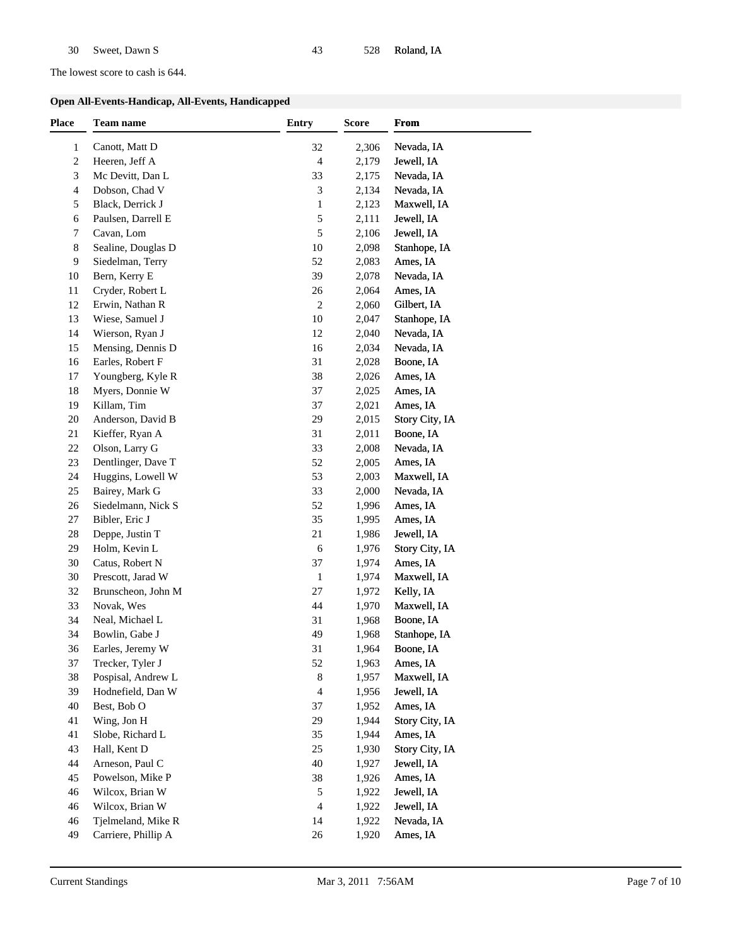The lowest score to cash is 644.

### **Open All-Events-Handicap, All-Events, Handicapped**

| <b>Place</b> | Team name           | <b>Entry</b> | <b>Score</b> | From           |
|--------------|---------------------|--------------|--------------|----------------|
| $\mathbf{1}$ | Canott, Matt D      | 32           | 2,306        | Nevada, IA     |
| 2            | Heeren, Jeff A      | 4            | 2,179        | Jewell, IA     |
| 3            | Mc Devitt, Dan L    | 33           | 2,175        | Nevada, IA     |
| 4            | Dobson, Chad V      | 3            | 2,134        | Nevada, IA     |
| 5            | Black, Derrick J    | $\mathbf{1}$ | 2,123        | Maxwell, IA    |
| 6            | Paulsen, Darrell E  | 5            | 2,111        | Jewell, IA     |
| 7            | Cavan, Lom          | 5            | 2,106        | Jewell, IA     |
| 8            | Sealine, Douglas D  | 10           | 2,098        | Stanhope, IA   |
| 9            | Siedelman, Terry    | 52           | 2,083        | Ames, IA       |
| 10           | Bern, Kerry E       | 39           | 2,078        | Nevada, IA     |
| 11           | Cryder, Robert L    | 26           | 2,064        | Ames, IA       |
| 12           | Erwin, Nathan R     | 2            | 2,060        | Gilbert, IA    |
| 13           | Wiese, Samuel J     | 10           | 2,047        | Stanhope, IA   |
| 14           | Wierson, Ryan J     | 12           | 2,040        | Nevada, IA     |
| 15           | Mensing, Dennis D   | 16           | 2,034        | Nevada, IA     |
| 16           | Earles, Robert F    | 31           | 2,028        | Boone, IA      |
| 17           | Youngberg, Kyle R   | 38           | 2,026        | Ames, IA       |
| 18           | Myers, Donnie W     | 37           | 2,025        | Ames, IA       |
| 19           | Killam, Tim         | 37           | 2,021        | Ames, IA       |
| 20           | Anderson, David B   | 29           | 2,015        | Story City, IA |
| 21           | Kieffer, Ryan A     | 31           | 2,011        | Boone, IA      |
| 22           | Olson, Larry G      | 33           | 2,008        | Nevada, IA     |
| 23           | Dentlinger, Dave T  | 52           | 2,005        | Ames, IA       |
| 24           | Huggins, Lowell W   | 53           | 2,003        | Maxwell, IA    |
| 25           | Bairey, Mark G      | 33           | 2,000        | Nevada, IA     |
| 26           | Siedelmann, Nick S  | 52           | 1,996        | Ames, IA       |
| 27           | Bibler, Eric J      | 35           | 1,995        | Ames, IA       |
| 28           | Deppe, Justin T     | 21           | 1,986        | Jewell, IA     |
| 29           | Holm, Kevin L       | 6            | 1,976        | Story City, IA |
| 30           | Catus, Robert N     | 37           | 1,974        | Ames, IA       |
| 30           | Prescott, Jarad W   | $\mathbf{1}$ | 1,974        | Maxwell, IA    |
| 32           | Brunscheon, John M  | 27           | 1,972        | Kelly, IA      |
| 33           | Novak, Wes          | 44           | 1,970        | Maxwell, IA    |
| 34           | Neal, Michael L     | 31           | 1,968        | Boone, IA      |
| 34           | Bowlin, Gabe J      | 49           | 1,968        | Stanhope, IA   |
| 36           | Earles, Jeremy W    | 31           | 1,964        | Boone, IA      |
| 37           | Trecker, Tyler J    | 52           | 1,963        | Ames, IA       |
| 38           | Pospisal, Andrew L  | 8            | 1,957        | Maxwell, IA    |
| 39           | Hodnefield, Dan W   | 4            | 1,956        | Jewell, IA     |
| 40           | Best, Bob O         | 37           | 1,952        | Ames, IA       |
| 41           | Wing, Jon H         | 29           | 1,944        | Story City, IA |
| 41           | Slobe, Richard L    | 35           | 1,944        | Ames, IA       |
| 43           | Hall, Kent D        | 25           | 1,930        | Story City, IA |
| 44           | Arneson, Paul C     | 40           | 1,927        | Jewell, IA     |
| 45           | Powelson, Mike P    | 38           | 1,926        | Ames, IA       |
| 46           | Wilcox, Brian W     | 5            | 1,922        | Jewell, IA     |
| 46           | Wilcox, Brian W     | 4            | 1,922        | Jewell, IA     |
| 46           | Tjelmeland, Mike R  | 14           | 1,922        | Nevada, IA     |
|              | Carriere, Phillip A | $26\,$       | 1,920        | Ames, IA       |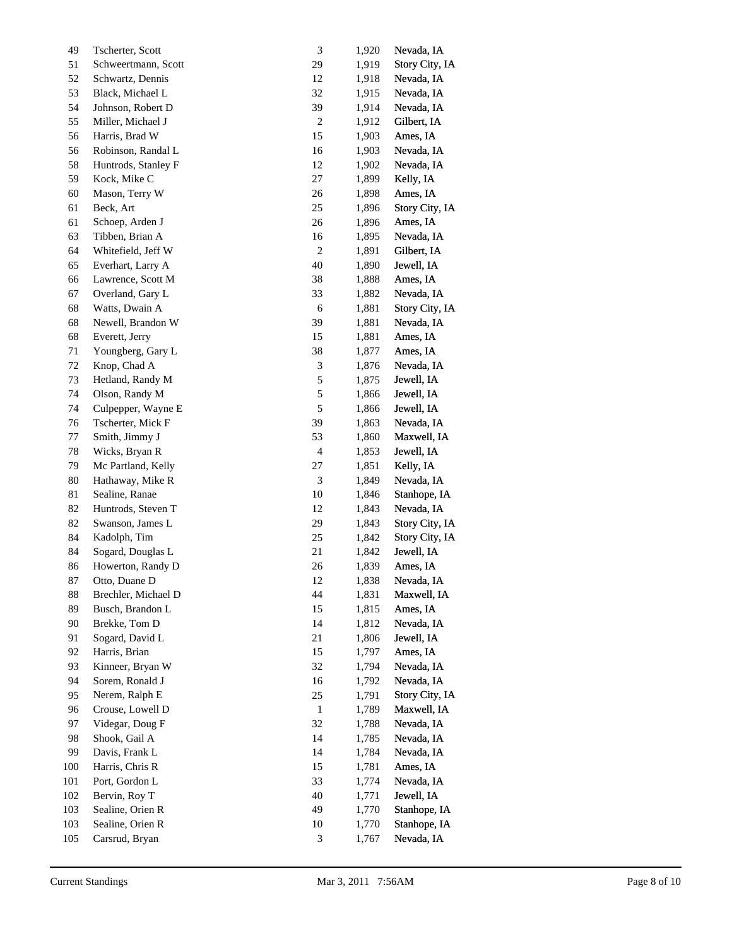| 49      | Tscherter, Scott    | $\ensuremath{\mathfrak{Z}}$ | 1,920 | Nevada, IA     |
|---------|---------------------|-----------------------------|-------|----------------|
| 51      | Schweertmann, Scott | 29                          | 1,919 | Story City, IA |
| 52      | Schwartz, Dennis    | $12\,$                      | 1,918 | Nevada, IA     |
| 53      | Black, Michael L    | 32                          | 1,915 | Nevada, IA     |
| 54      | Johnson, Robert D   | 39                          | 1,914 | Nevada, IA     |
| 55      | Miller, Michael J   | $\sqrt{2}$                  | 1,912 | Gilbert, IA    |
| 56      | Harris, Brad W      | 15                          | 1,903 | Ames, IA       |
| 56      | Robinson, Randal L  | 16                          | 1,903 | Nevada, IA     |
| 58      | Huntrods, Stanley F | $12\,$                      | 1,902 | Nevada, IA     |
| 59      | Kock, Mike C        | 27                          | 1,899 | Kelly, IA      |
| 60      | Mason, Terry W      | 26                          | 1,898 | Ames, IA       |
| 61      | Beck, Art           | $25\,$                      | 1,896 | Story City, IA |
| 61      | Schoep, Arden J     | $26\,$                      | 1,896 | Ames, IA       |
| 63      | Tibben, Brian A     | 16                          | 1,895 | Nevada, IA     |
| 64      | Whitefield, Jeff W  | $\sqrt{2}$                  | 1,891 | Gilbert, IA    |
| 65      | Everhart, Larry A   | 40                          | 1,890 | Jewell, IA     |
| 66      | Lawrence, Scott M   | 38                          | 1,888 | Ames, IA       |
| 67      | Overland, Gary L    | 33                          | 1,882 | Nevada, IA     |
| 68      | Watts, Dwain A      | $\sqrt{6}$                  | 1,881 | Story City, IA |
| 68      | Newell, Brandon W   | 39                          | 1,881 | Nevada, IA     |
| 68      | Everett, Jerry      | 15                          | 1,881 | Ames, IA       |
| 71      | Youngberg, Gary L   | 38                          | 1,877 | Ames, IA       |
| $72\,$  | Knop, Chad A        | $\ensuremath{\mathfrak{Z}}$ | 1,876 | Nevada, IA     |
| $73\,$  | Hetland, Randy M    | $\sqrt{5}$                  | 1,875 | Jewell, IA     |
| 74      | Olson, Randy M      | $\sqrt{5}$                  | 1,866 | Jewell, IA     |
| 74      | Culpepper, Wayne E  | $\sqrt{5}$                  | 1,866 | Jewell, IA     |
| 76      | Tscherter, Mick F   | 39                          | 1,863 | Nevada, IA     |
| 77      | Smith, Jimmy J      | 53                          | 1,860 | Maxwell, IA    |
| $78\,$  | Wicks, Bryan R      | $\overline{4}$              | 1,853 | Jewell, IA     |
| 79      | Mc Partland, Kelly  | $27\,$                      | 1,851 | Kelly, IA      |
| $80\,$  | Hathaway, Mike R    | $\ensuremath{\mathfrak{Z}}$ | 1,849 | Nevada, IA     |
| 81      | Sealine, Ranae      | $10\,$                      | 1,846 | Stanhope, IA   |
| 82      | Huntrods, Steven T  | $12\,$                      | 1,843 | Nevada, IA     |
| 82      | Swanson, James L    | 29                          | 1,843 | Story City, IA |
| 84      | Kadolph, Tim        | 25                          | 1,842 | Story City, IA |
| 84      | Sogard, Douglas L   | 21                          | 1,842 | Jewell, IA     |
| 86      | Howerton, Randy D   | 26                          | 1,839 | Ames, IA       |
| 87      | Otto, Duane D       | 12                          | 1,838 | Nevada, IA     |
| 88      | Brechler, Michael D | 44                          | 1,831 | Maxwell, IA    |
| 89      | Busch, Brandon L    | 15                          | 1,815 | Ames, IA       |
| 90      | Brekke, Tom D       | 14                          | 1,812 | Nevada, IA     |
| 91      | Sogard, David L     | $21\,$                      | 1,806 | Jewell, IA     |
| 92      | Harris, Brian       | 15                          | 1,797 | Ames, IA       |
| 93      | Kinneer, Bryan W    | 32                          | 1,794 | Nevada, IA     |
| 94      | Sorem, Ronald J     | 16                          | 1,792 | Nevada, IA     |
| 95      | Nerem, Ralph E      | $25\,$                      | 1,791 | Story City, IA |
| 96      | Crouse, Lowell D    | $\mathbf{1}$                | 1,789 | Maxwell, IA    |
| 97      | Videgar, Doug F     | 32                          | 1,788 | Nevada, IA     |
| 98      | Shook, Gail A       | 14                          | 1,785 | Nevada, IA     |
| 99      | Davis, Frank L      | 14                          | 1,784 | Nevada, IA     |
| 100     | Harris, Chris R     | 15                          | 1,781 | Ames, IA       |
| $101\,$ | Port, Gordon L      | 33                          | 1,774 | Nevada, IA     |
| 102     | Bervin, Roy T       | 40                          | 1,771 | Jewell, IA     |
| 103     | Sealine, Orien R    | 49                          | 1,770 | Stanhope, IA   |
| 103     | Sealine, Orien R    | $10\,$                      | 1,770 | Stanhope, IA   |
| 105     | Carsrud, Bryan      | $\ensuremath{\mathfrak{Z}}$ | 1,767 | Nevada, IA     |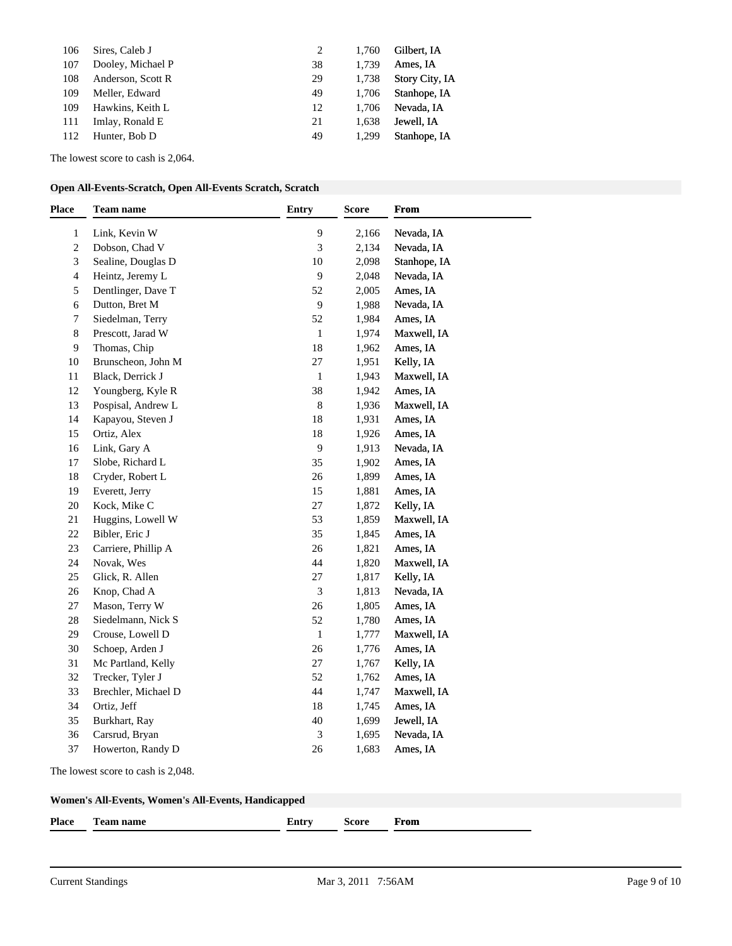| 106 | Sires, Caleb J    |    | 1.760 | Gilbert, IA           |
|-----|-------------------|----|-------|-----------------------|
| 107 | Dooley, Michael P | 38 | 1.739 | Ames, IA              |
| 108 | Anderson, Scott R | 29 | 1.738 | <b>Story City, IA</b> |
| 109 | Meller, Edward    | 49 | 1.706 | Stanhope, IA          |
| 109 | Hawkins, Keith L  | 12 | 1.706 | Nevada, IA            |
| 111 | Imlay, Ronald E   | 21 | 1.638 | Jewell, IA            |
| 112 | Hunter, Bob D     | 49 | 1.299 | Stanhope, IA          |
|     |                   |    |       |                       |

The lowest score to cash is 2,064.

|  | Open All-Events-Scratch, Open All-Events Scratch, Scratch |
|--|-----------------------------------------------------------|
|--|-----------------------------------------------------------|

| <b>Place</b>   | <b>Team name</b>    | Entry        | <b>Score</b> | <b>From</b>  |
|----------------|---------------------|--------------|--------------|--------------|
| 1              | Link, Kevin W       | 9            | 2,166        | Nevada, IA   |
| $\overline{c}$ | Dobson, Chad V      | 3            | 2,134        | Nevada, IA   |
| 3              | Sealine, Douglas D  | 10           | 2,098        | Stanhope, IA |
| 4              | Heintz, Jeremy L    | 9            | 2,048        | Nevada, IA   |
| 5              | Dentlinger, Dave T  | 52           | 2,005        | Ames, IA     |
| 6              | Dutton, Bret M      | $\mathbf{9}$ | 1,988        | Nevada, IA   |
| 7              | Siedelman, Terry    | 52           | 1,984        | Ames, IA     |
| 8              | Prescott, Jarad W   | $\mathbf{1}$ | 1,974        | Maxwell, IA  |
| 9              | Thomas, Chip        | 18           | 1,962        | Ames, IA     |
| 10             | Brunscheon, John M  | 27           | 1,951        | Kelly, IA    |
| 11             | Black, Derrick J    | $\mathbf{1}$ | 1,943        | Maxwell, IA  |
| $12\,$         | Youngberg, Kyle R   | 38           | 1,942        | Ames, IA     |
| 13             | Pospisal, Andrew L  | $\,$ 8 $\,$  | 1,936        | Maxwell, IA  |
| 14             | Kapayou, Steven J   | 18           | 1,931        | Ames, IA     |
| 15             | Ortiz, Alex         | 18           | 1,926        | Ames, IA     |
| 16             | Link, Gary A        | 9            | 1,913        | Nevada, IA   |
| 17             | Slobe, Richard L    | 35           | 1,902        | Ames, IA     |
| 18             | Cryder, Robert L    | 26           | 1,899        | Ames, IA     |
| 19             | Everett, Jerry      | 15           | 1,881        | Ames, IA     |
| $20\,$         | Kock, Mike C        | $27\,$       | 1,872        | Kelly, IA    |
| $21\,$         | Huggins, Lowell W   | 53           | 1,859        | Maxwell, IA  |
| $22\,$         | Bibler, Eric J      | 35           | 1,845        | Ames, IA     |
| 23             | Carriere, Phillip A | 26           | 1,821        | Ames, IA     |
| 24             | Novak, Wes          | 44           | 1,820        | Maxwell, IA  |
| 25             | Glick, R. Allen     | 27           | 1,817        | Kelly, IA    |
| $26\,$         | Knop, Chad A        | 3            | 1,813        | Nevada, IA   |
| $27\,$         | Mason, Terry W      | $26\,$       | 1,805        | Ames, IA     |
| $28\,$         | Siedelmann, Nick S  | 52           | 1,780        | Ames, IA     |
| 29             | Crouse, Lowell D    | $\mathbf{1}$ | 1,777        | Maxwell, IA  |
| 30             | Schoep, Arden J     | 26           | 1,776        | Ames, IA     |
| 31             | Mc Partland, Kelly  | 27           | 1,767        | Kelly, IA    |
| 32             | Trecker, Tyler J    | 52           | 1,762        | Ames, IA     |
| 33             | Brechler, Michael D | 44           | 1,747        | Maxwell, IA  |
| 34             | Ortiz, Jeff         | $18\,$       | 1,745        | Ames, IA     |
| 35             | Burkhart, Ray       | 40           | 1,699        | Jewell, IA   |
| 36             | Carsrud, Bryan      | 3            | 1,695        | Nevada, IA   |
| 37             | Howerton, Randy D   | 26           | 1,683        | Ames, IA     |

The lowest score to cash is 2,048.

| <b>Place</b> | --<br>feam name | Lntrv | icore | From |
|--------------|-----------------|-------|-------|------|
|              |                 |       |       |      |